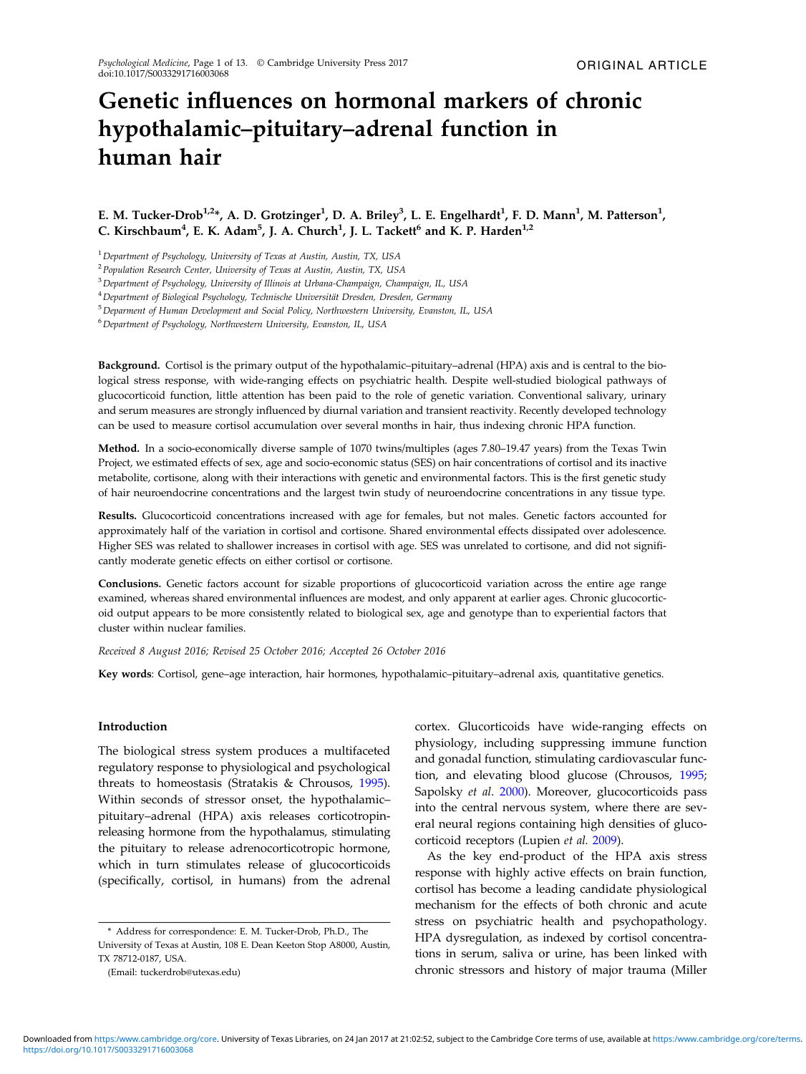# Genetic influences on hormonal markers of chronic hypothalamic–pituitary–adrenal function in human hair

## E. M. Tucker-Drob<sup>1,2</sup>\*, A. D. Grotzinger<sup>1</sup>, D. A. Briley<sup>3</sup>, L. E. Engelhardt<sup>1</sup>, F. D. Mann<sup>1</sup>, M. Patterson<sup>1</sup>, C. Kirschbaum<sup>4</sup>, E. K. Adam<sup>5</sup>, J. A. Church<sup>1</sup>, J. L. Tackett<sup>6</sup> and K. P. Harden<sup>1,2</sup>

<sup>1</sup>Department of Psychology, University of Texas at Austin, Austin, TX, USA

<sup>2</sup> Population Research Center, University of Texas at Austin, Austin, TX, USA

<sup>3</sup>Department of Psychology, University of Illinois at Urbana-Champaign, Champaign, IL, USA

<sup>4</sup>Department of Biological Psychology, Technische Universität Dresden, Dresden, Germany

<sup>5</sup>Deparment of Human Development and Social Policy, Northwestern University, Evanston, IL, USA

<sup>6</sup>Department of Psychology, Northwestern University, Evanston, IL, USA

Background. Cortisol is the primary output of the hypothalamic–pituitary–adrenal (HPA) axis and is central to the biological stress response, with wide-ranging effects on psychiatric health. Despite well-studied biological pathways of glucocorticoid function, little attention has been paid to the role of genetic variation. Conventional salivary, urinary and serum measures are strongly influenced by diurnal variation and transient reactivity. Recently developed technology can be used to measure cortisol accumulation over several months in hair, thus indexing chronic HPA function.

Method. In a socio-economically diverse sample of 1070 twins/multiples (ages 7.80–19.47 years) from the Texas Twin Project, we estimated effects of sex, age and socio-economic status (SES) on hair concentrations of cortisol and its inactive metabolite, cortisone, along with their interactions with genetic and environmental factors. This is the first genetic study of hair neuroendocrine concentrations and the largest twin study of neuroendocrine concentrations in any tissue type.

Results. Glucocorticoid concentrations increased with age for females, but not males. Genetic factors accounted for approximately half of the variation in cortisol and cortisone. Shared environmental effects dissipated over adolescence. Higher SES was related to shallower increases in cortisol with age. SES was unrelated to cortisone, and did not significantly moderate genetic effects on either cortisol or cortisone.

Conclusions. Genetic factors account for sizable proportions of glucocorticoid variation across the entire age range examined, whereas shared environmental influences are modest, and only apparent at earlier ages. Chronic glucocorticoid output appears to be more consistently related to biological sex, age and genotype than to experiential factors that cluster within nuclear families.

Received 8 August 2016; Revised 25 October 2016; Accepted 26 October 2016

Key words: Cortisol, gene–age interaction, hair hormones, hypothalamic–pituitary–adrenal axis, quantitative genetics.

#### Introduction

The biological stress system produces a multifaceted regulatory response to physiological and psychological threats to homeostasis (Stratakis & Chrousos, [1995](#page-12-0)). Within seconds of stressor onset, the hypothalamic– pituitary–adrenal (HPA) axis releases corticotropinreleasing hormone from the hypothalamus, stimulating the pituitary to release adrenocorticotropic hormone, which in turn stimulates release of glucocorticoids (specifically, cortisol, in humans) from the adrenal

cortex. Glucorticoids have wide-ranging effects on physiology, including suppressing immune function and gonadal function, stimulating cardiovascular function, and elevating blood glucose (Chrousos, [1995](#page-10-0); Sapolsky et al. [2000](#page-11-0)). Moreover, glucocorticoids pass into the central nervous system, where there are several neural regions containing high densities of glucocorticoid receptors (Lupien et al. [2009](#page-11-0)).

As the key end-product of the HPA axis stress response with highly active effects on brain function, cortisol has become a leading candidate physiological mechanism for the effects of both chronic and acute stress on psychiatric health and psychopathology. HPA dysregulation, as indexed by cortisol concentrations in serum, saliva or urine, has been linked with chronic stressors and history of major trauma (Miller

<sup>\*</sup> Address for correspondence: E. M. Tucker-Drob, Ph.D., The University of Texas at Austin, 108 E. Dean Keeton Stop A8000, Austin, TX 78712-0187, USA.

<sup>(</sup>Email: [tuckerdrob@utexas.edu](mailto:tuckerdrob@utexas.edu))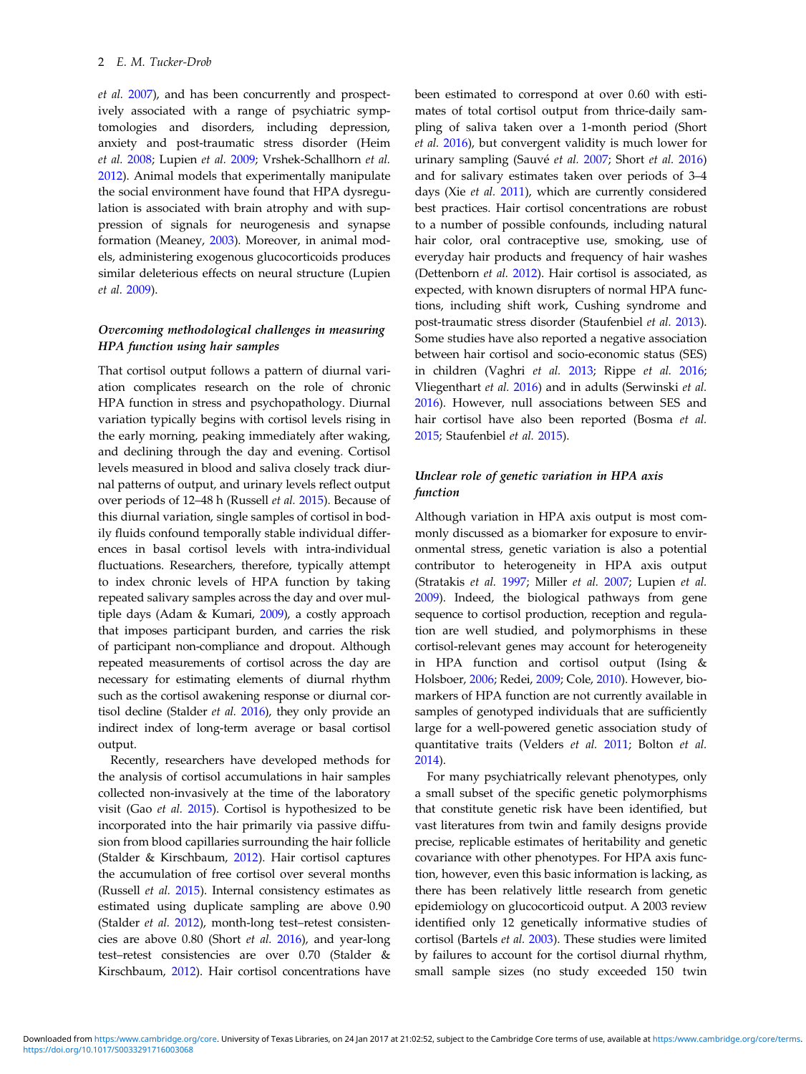et al. [2007\)](#page-11-0), and has been concurrently and prospectively associated with a range of psychiatric symptomologies and disorders, including depression, anxiety and post-traumatic stress disorder (Heim et al. [2008](#page-11-0); Lupien et al. [2009;](#page-11-0) Vrshek-Schallhorn et al. [2012\)](#page-12-0). Animal models that experimentally manipulate the social environment have found that HPA dysregulation is associated with brain atrophy and with suppression of signals for neurogenesis and synapse formation (Meaney, [2003](#page-11-0)). Moreover, in animal models, administering exogenous glucocorticoids produces similar deleterious effects on neural structure (Lupien et al. [2009\)](#page-11-0).

## Overcoming methodological challenges in measuring HPA function using hair samples

That cortisol output follows a pattern of diurnal variation complicates research on the role of chronic HPA function in stress and psychopathology. Diurnal variation typically begins with cortisol levels rising in the early morning, peaking immediately after waking, and declining through the day and evening. Cortisol levels measured in blood and saliva closely track diurnal patterns of output, and urinary levels reflect output over periods of 12–48 h (Russell et al. [2015](#page-11-0)). Because of this diurnal variation, single samples of cortisol in bodily fluids confound temporally stable individual differences in basal cortisol levels with intra-individual fluctuations. Researchers, therefore, typically attempt to index chronic levels of HPA function by taking repeated salivary samples across the day and over multiple days (Adam & Kumari, [2009\)](#page-10-0), a costly approach that imposes participant burden, and carries the risk of participant non-compliance and dropout. Although repeated measurements of cortisol across the day are necessary for estimating elements of diurnal rhythm such as the cortisol awakening response or diurnal cortisol decline (Stalder et al. [2016\)](#page-12-0), they only provide an indirect index of long-term average or basal cortisol output.

Recently, researchers have developed methods for the analysis of cortisol accumulations in hair samples collected non-invasively at the time of the laboratory visit (Gao et al. [2015\)](#page-11-0). Cortisol is hypothesized to be incorporated into the hair primarily via passive diffusion from blood capillaries surrounding the hair follicle (Stalder & Kirschbaum, [2012\)](#page-12-0). Hair cortisol captures the accumulation of free cortisol over several months (Russell et al. [2015\)](#page-11-0). Internal consistency estimates as estimated using duplicate sampling are above 0.90 (Stalder et al. [2012](#page-12-0)), month-long test–retest consistencies are above 0.80 (Short et al. [2016\)](#page-12-0), and year-long test–retest consistencies are over 0.70 (Stalder & Kirschbaum, [2012\)](#page-12-0). Hair cortisol concentrations have been estimated to correspond at over 0.60 with estimates of total cortisol output from thrice-daily sampling of saliva taken over a 1-month period (Short et al. [2016\)](#page-12-0), but convergent validity is much lower for urinary sampling (Sauvé et al. [2007;](#page-11-0) Short et al. [2016\)](#page-12-0) and for salivary estimates taken over periods of 3–4 days (Xie et al. [2011](#page-12-0)), which are currently considered best practices. Hair cortisol concentrations are robust to a number of possible confounds, including natural hair color, oral contraceptive use, smoking, use of everyday hair products and frequency of hair washes (Dettenborn et al. [2012](#page-11-0)). Hair cortisol is associated, as expected, with known disrupters of normal HPA functions, including shift work, Cushing syndrome and post-traumatic stress disorder (Staufenbiel et al. [2013](#page-12-0)). Some studies have also reported a negative association between hair cortisol and socio-economic status (SES) in children (Vaghri et al. [2013;](#page-12-0) Rippe et al. [2016](#page-11-0); Vliegenthart et al. [2016\)](#page-12-0) and in adults (Serwinski et al. [2016\)](#page-12-0). However, null associations between SES and hair cortisol have also been reported (Bosma et al. [2015;](#page-10-0) Staufenbiel et al. [2015\)](#page-12-0).

## Unclear role of genetic variation in HPA axis function

Although variation in HPA axis output is most commonly discussed as a biomarker for exposure to environmental stress, genetic variation is also a potential contributor to heterogeneity in HPA axis output (Stratakis et al. [1997](#page-12-0); Miller et al. [2007;](#page-11-0) Lupien et al. [2009\)](#page-11-0). Indeed, the biological pathways from gene sequence to cortisol production, reception and regulation are well studied, and polymorphisms in these cortisol-relevant genes may account for heterogeneity in HPA function and cortisol output (Ising & Holsboer, [2006](#page-11-0); Redei, [2009](#page-11-0); Cole, [2010](#page-10-0)). However, biomarkers of HPA function are not currently available in samples of genotyped individuals that are sufficiently large for a well-powered genetic association study of quantitative traits (Velders et al. [2011;](#page-12-0) Bolton et al. [2014\)](#page-10-0).

For many psychiatrically relevant phenotypes, only a small subset of the specific genetic polymorphisms that constitute genetic risk have been identified, but vast literatures from twin and family designs provide precise, replicable estimates of heritability and genetic covariance with other phenotypes. For HPA axis function, however, even this basic information is lacking, as there has been relatively little research from genetic epidemiology on glucocorticoid output. A 2003 review identified only 12 genetically informative studies of cortisol (Bartels et al. [2003\)](#page-10-0). These studies were limited by failures to account for the cortisol diurnal rhythm, small sample sizes (no study exceeded 150 twin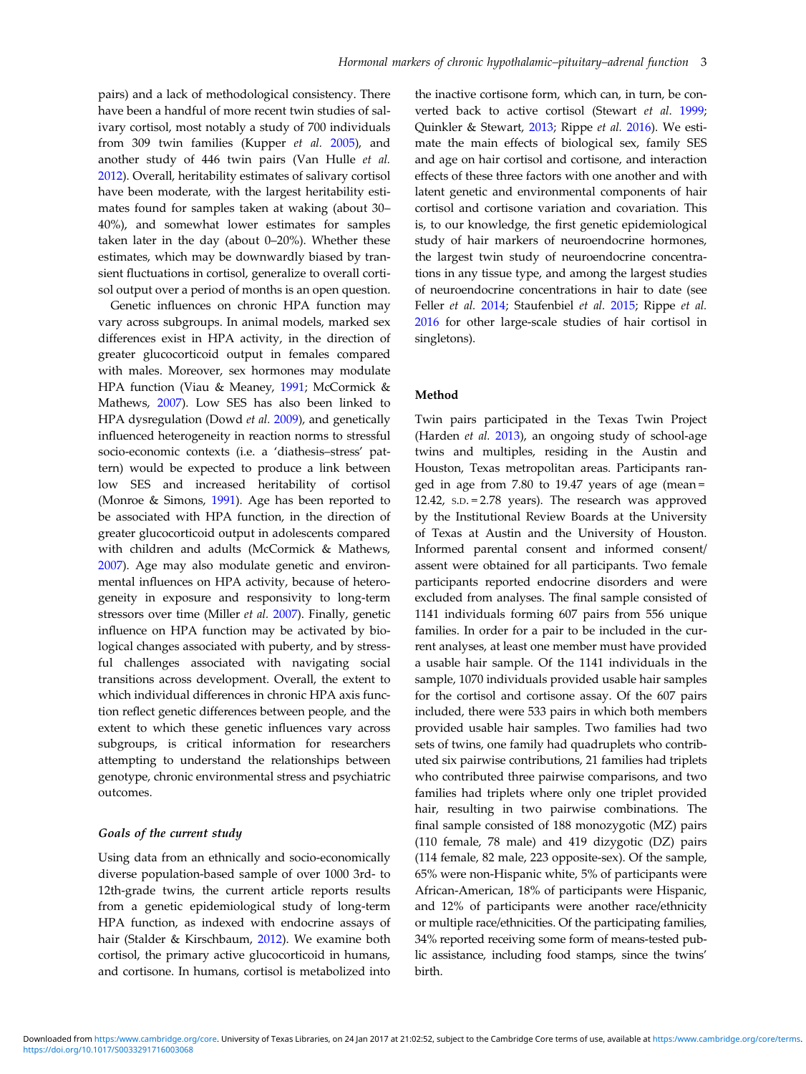pairs) and a lack of methodological consistency. There have been a handful of more recent twin studies of salivary cortisol, most notably a study of 700 individuals from 309 twin families (Kupper et al. [2005](#page-11-0)), and another study of 446 twin pairs (Van Hulle et al. [2012\)](#page-12-0). Overall, heritability estimates of salivary cortisol have been moderate, with the largest heritability estimates found for samples taken at waking (about 30– 40%), and somewhat lower estimates for samples taken later in the day (about 0–20%). Whether these estimates, which may be downwardly biased by transient fluctuations in cortisol, generalize to overall cortisol output over a period of months is an open question.

Genetic influences on chronic HPA function may vary across subgroups. In animal models, marked sex differences exist in HPA activity, in the direction of greater glucocorticoid output in females compared with males. Moreover, sex hormones may modulate HPA function (Viau & Meaney, [1991](#page-12-0); McCormick & Mathews, [2007](#page-11-0)). Low SES has also been linked to HPA dysregulation (Dowd et al. [2009\)](#page-11-0), and genetically influenced heterogeneity in reaction norms to stressful socio-economic contexts (i.e. a 'diathesis–stress' pattern) would be expected to produce a link between low SES and increased heritability of cortisol (Monroe & Simons, [1991](#page-11-0)). Age has been reported to be associated with HPA function, in the direction of greater glucocorticoid output in adolescents compared with children and adults (McCormick & Mathews, [2007\)](#page-11-0). Age may also modulate genetic and environmental influences on HPA activity, because of heterogeneity in exposure and responsivity to long-term stressors over time (Miller et al. [2007\)](#page-11-0). Finally, genetic influence on HPA function may be activated by biological changes associated with puberty, and by stressful challenges associated with navigating social transitions across development. Overall, the extent to which individual differences in chronic HPA axis function reflect genetic differences between people, and the extent to which these genetic influences vary across subgroups, is critical information for researchers attempting to understand the relationships between genotype, chronic environmental stress and psychiatric outcomes.

#### Goals of the current study

Using data from an ethnically and socio-economically diverse population-based sample of over 1000 3rd- to 12th-grade twins, the current article reports results from a genetic epidemiological study of long-term HPA function, as indexed with endocrine assays of hair (Stalder & Kirschbaum, [2012\)](#page-12-0). We examine both cortisol, the primary active glucocorticoid in humans, and cortisone. In humans, cortisol is metabolized into

the inactive cortisone form, which can, in turn, be converted back to active cortisol (Stewart et al. [1999](#page-12-0); Quinkler & Stewart, [2013](#page-11-0); Rippe et al. [2016](#page-11-0)). We estimate the main effects of biological sex, family SES and age on hair cortisol and cortisone, and interaction effects of these three factors with one another and with latent genetic and environmental components of hair cortisol and cortisone variation and covariation. This is, to our knowledge, the first genetic epidemiological study of hair markers of neuroendocrine hormones, the largest twin study of neuroendocrine concentrations in any tissue type, and among the largest studies of neuroendocrine concentrations in hair to date (see Feller et al. [2014;](#page-11-0) Staufenbiel et al. [2015;](#page-12-0) Rippe et al. [2016](#page-11-0) for other large-scale studies of hair cortisol in singletons).

## Method

Twin pairs participated in the Texas Twin Project (Harden et al. [2013](#page-11-0)), an ongoing study of school-age twins and multiples, residing in the Austin and Houston, Texas metropolitan areas. Participants ranged in age from 7.80 to 19.47 years of age (mean = 12.42, S.D. = 2.78 years). The research was approved by the Institutional Review Boards at the University of Texas at Austin and the University of Houston. Informed parental consent and informed consent/ assent were obtained for all participants. Two female participants reported endocrine disorders and were excluded from analyses. The final sample consisted of 1141 individuals forming 607 pairs from 556 unique families. In order for a pair to be included in the current analyses, at least one member must have provided a usable hair sample. Of the 1141 individuals in the sample, 1070 individuals provided usable hair samples for the cortisol and cortisone assay. Of the 607 pairs included, there were 533 pairs in which both members provided usable hair samples. Two families had two sets of twins, one family had quadruplets who contributed six pairwise contributions, 21 families had triplets who contributed three pairwise comparisons, and two families had triplets where only one triplet provided hair, resulting in two pairwise combinations. The final sample consisted of 188 monozygotic (MZ) pairs (110 female, 78 male) and 419 dizygotic (DZ) pairs (114 female, 82 male, 223 opposite-sex). Of the sample, 65% were non-Hispanic white, 5% of participants were African-American, 18% of participants were Hispanic, and 12% of participants were another race/ethnicity or multiple race/ethnicities. Of the participating families, 34% reported receiving some form of means-tested public assistance, including food stamps, since the twins' birth.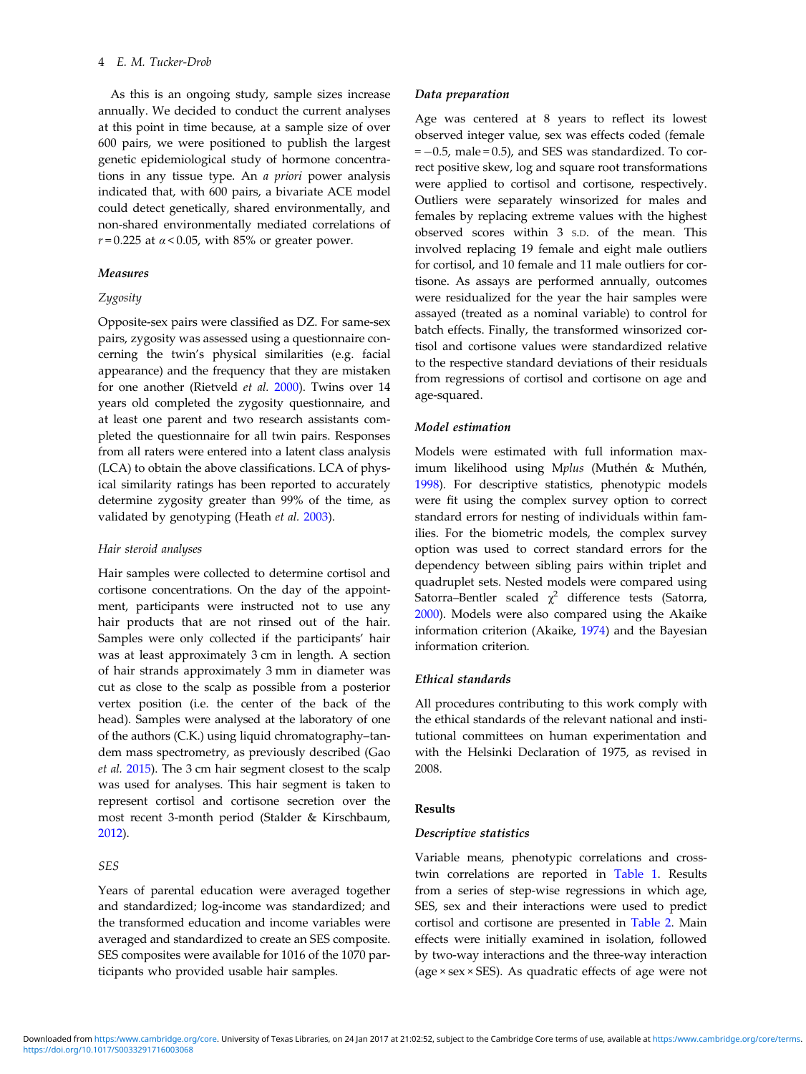#### 4 E. M. Tucker-Drob

As this is an ongoing study, sample sizes increase annually. We decided to conduct the current analyses at this point in time because, at a sample size of over 600 pairs, we were positioned to publish the largest genetic epidemiological study of hormone concentrations in any tissue type. An a priori power analysis indicated that, with 600 pairs, a bivariate ACE model could detect genetically, shared environmentally, and non-shared environmentally mediated correlations of  $r = 0.225$  at  $\alpha < 0.05$ , with 85% or greater power.

## Measures

#### Zygosity

Opposite-sex pairs were classified as DZ. For same-sex pairs, zygosity was assessed using a questionnaire concerning the twin's physical similarities (e.g. facial appearance) and the frequency that they are mistaken for one another (Rietveld et al. [2000\)](#page-11-0). Twins over 14 years old completed the zygosity questionnaire, and at least one parent and two research assistants completed the questionnaire for all twin pairs. Responses from all raters were entered into a latent class analysis (LCA) to obtain the above classifications. LCA of physical similarity ratings has been reported to accurately determine zygosity greater than 99% of the time, as validated by genotyping (Heath et al. [2003\)](#page-11-0).

#### Hair steroid analyses

Hair samples were collected to determine cortisol and cortisone concentrations. On the day of the appointment, participants were instructed not to use any hair products that are not rinsed out of the hair. Samples were only collected if the participants' hair was at least approximately 3 cm in length. A section of hair strands approximately 3 mm in diameter was cut as close to the scalp as possible from a posterior vertex position (i.e. the center of the back of the head). Samples were analysed at the laboratory of one of the authors (C.K.) using liquid chromatography–tandem mass spectrometry, as previously described (Gao et al. [2015\)](#page-11-0). The 3 cm hair segment closest to the scalp was used for analyses. This hair segment is taken to represent cortisol and cortisone secretion over the most recent 3-month period (Stalder & Kirschbaum, [2012\)](#page-12-0).

## SES

Years of parental education were averaged together and standardized; log-income was standardized; and the transformed education and income variables were averaged and standardized to create an SES composite. SES composites were available for 1016 of the 1070 participants who provided usable hair samples.

#### Data preparation

Age was centered at 8 years to reflect its lowest observed integer value, sex was effects coded (female  $= -0.5$ , male = 0.5), and SES was standardized. To correct positive skew, log and square root transformations were applied to cortisol and cortisone, respectively. Outliers were separately winsorized for males and females by replacing extreme values with the highest observed scores within 3 S.D. of the mean. This involved replacing 19 female and eight male outliers for cortisol, and 10 female and 11 male outliers for cortisone. As assays are performed annually, outcomes were residualized for the year the hair samples were assayed (treated as a nominal variable) to control for batch effects. Finally, the transformed winsorized cortisol and cortisone values were standardized relative to the respective standard deviations of their residuals from regressions of cortisol and cortisone on age and age-squared.

## Model estimation

Models were estimated with full information maximum likelihood using Mplus (Muthén & Muthén, [1998\)](#page-11-0). For descriptive statistics, phenotypic models were fit using the complex survey option to correct standard errors for nesting of individuals within families. For the biometric models, the complex survey option was used to correct standard errors for the dependency between sibling pairs within triplet and quadruplet sets. Nested models were compared using Satorra–Bentler scaled  $\chi^2$  difference tests (Satorra, [2000\)](#page-11-0). Models were also compared using the Akaike information criterion (Akaike, [1974\)](#page-10-0) and the Bayesian information criterion.

#### Ethical standards

All procedures contributing to this work comply with the ethical standards of the relevant national and institutional committees on human experimentation and with the Helsinki Declaration of 1975, as revised in 2008.

#### Results

#### Descriptive statistics

Variable means, phenotypic correlations and crosstwin correlations are reported in [Table 1](#page-4-0). Results from a series of step-wise regressions in which age, SES, sex and their interactions were used to predict cortisol and cortisone are presented in [Table 2](#page-5-0). Main effects were initially examined in isolation, followed by two-way interactions and the three-way interaction (age × sex × SES). As quadratic effects of age were not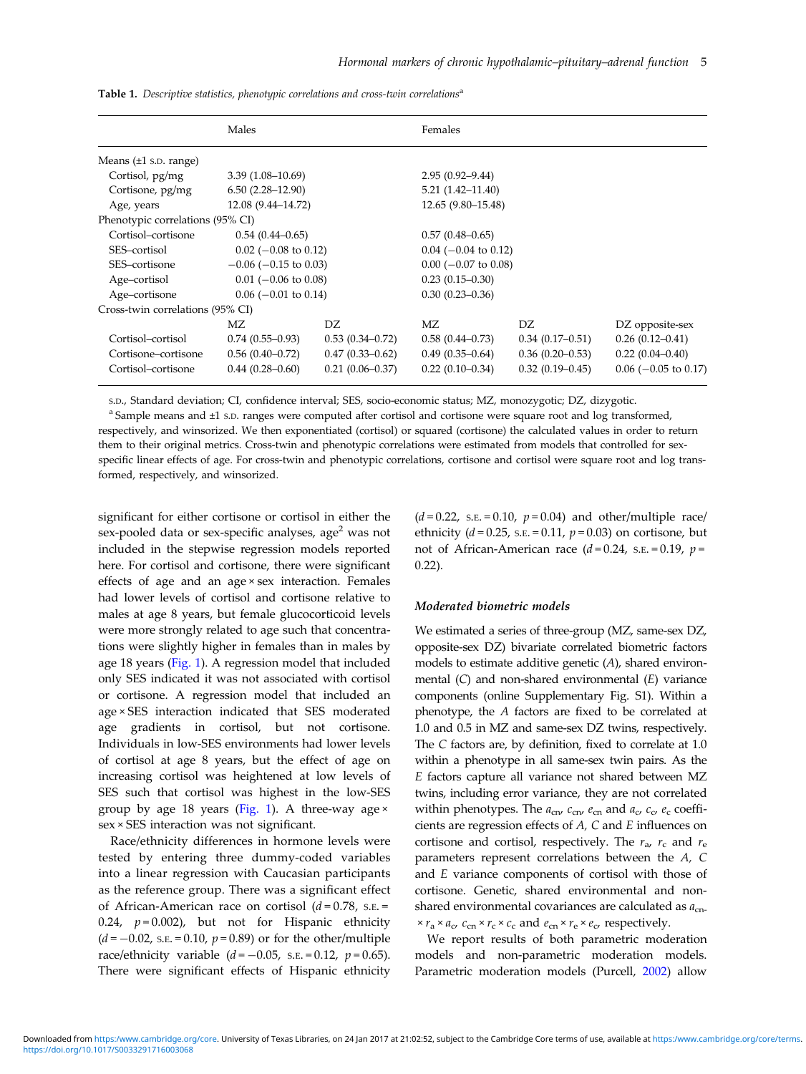|                                    | Males                      |                     | Females                |                     |                           |  |  |
|------------------------------------|----------------------------|---------------------|------------------------|---------------------|---------------------------|--|--|
| Means $(\pm 1 \text{ s.p. range})$ |                            |                     |                        |                     |                           |  |  |
| Cortisol, pg/mg                    | $3.39(1.08 - 10.69)$       |                     | $2.95(0.92 - 9.44)$    |                     |                           |  |  |
| Cortisone, pg/mg                   | $6.50(2.28-12.90)$         |                     | $5.21(1.42 - 11.40)$   |                     |                           |  |  |
| Age, years                         | 12.08 (9.44–14.72)         |                     | $12.65(9.80-15.48)$    |                     |                           |  |  |
| Phenotypic correlations (95% CI)   |                            |                     |                        |                     |                           |  |  |
| Cortisol-cortisone                 | $0.54(0.44 - 0.65)$        |                     | $0.57(0.48 - 0.65)$    |                     |                           |  |  |
| SES-cortisol                       | $0.02$ (-0.08 to 0.12)     |                     | $0.04$ (-0.04 to 0.12) |                     |                           |  |  |
| SES-cortisone                      | $-0.06$ ( $-0.15$ to 0.03) |                     | $0.00$ (-0.07 to 0.08) |                     |                           |  |  |
| Age-cortisol                       | $0.01$ (-0.06 to 0.08)     |                     | $0.23(0.15-0.30)$      |                     |                           |  |  |
| Age-cortisone                      | $0.06$ (-0.01 to 0.14)     |                     | $0.30(0.23 - 0.36)$    |                     |                           |  |  |
| Cross-twin correlations (95% CI)   |                            |                     |                        |                     |                           |  |  |
|                                    | MZ.                        | DZ.                 | MZ.                    | DZ.                 | DZ opposite-sex           |  |  |
| Cortisol-cortisol                  | $0.74(0.55-0.93)$          | $0.53(0.34 - 0.72)$ | $0.58(0.44 - 0.73)$    | $0.34(0.17-0.51)$   | $0.26(0.12 - 0.41)$       |  |  |
| Cortisone-cortisone                | $0.56(0.40-0.72)$          | $0.47(0.33 - 0.62)$ | $0.49(0.35-0.64)$      | $0.36(0.20-0.53)$   | $0.22(0.04 - 0.40)$       |  |  |
| Cortisol-cortisone                 | $0.44(0.28-0.60)$          | $0.21(0.06 - 0.37)$ | $0.22(0.10-0.34)$      | $0.32(0.19 - 0.45)$ | $0.06$ ( $-0.05$ to 0.17) |  |  |

<span id="page-4-0"></span>Table 1. Descriptive statistics, phenotypic correlations and cross-twin correlations<sup>a</sup>

S.D., Standard deviation; CI, confidence interval; SES, socio-economic status; MZ, monozygotic; DZ, dizygotic.

<sup>a</sup> Sample means and ±1 s.D. ranges were computed after cortisol and cortisone were square root and log transformed, respectively, and winsorized. We then exponentiated (cortisol) or squared (cortisone) the calculated values in order to return them to their original metrics. Cross-twin and phenotypic correlations were estimated from models that controlled for sexspecific linear effects of age. For cross-twin and phenotypic correlations, cortisone and cortisol were square root and log transformed, respectively, and winsorized.

significant for either cortisone or cortisol in either the sex-pooled data or sex-specific analyses,  $age<sup>2</sup>$  was not included in the stepwise regression models reported here. For cortisol and cortisone, there were significant effects of age and an age × sex interaction. Females had lower levels of cortisol and cortisone relative to males at age 8 years, but female glucocorticoid levels were more strongly related to age such that concentrations were slightly higher in females than in males by age 18 years ([Fig. 1\)](#page-6-0). A regression model that included only SES indicated it was not associated with cortisol or cortisone. A regression model that included an age × SES interaction indicated that SES moderated age gradients in cortisol, but not cortisone. Individuals in low-SES environments had lower levels of cortisol at age 8 years, but the effect of age on increasing cortisol was heightened at low levels of SES such that cortisol was highest in the low-SES group by age 18 years ([Fig. 1\)](#page-6-0). A three-way age  $\times$ sex × SES interaction was not significant.

Race/ethnicity differences in hormone levels were tested by entering three dummy-coded variables into a linear regression with Caucasian participants as the reference group. There was a significant effect of African-American race on cortisol  $(d=0.78, s.E. =$ 0.24,  $p = 0.002$ ), but not for Hispanic ethnicity  $(d = -0.02, s.e. = 0.10, p = 0.89)$  or for the other/multiple race/ethnicity variable  $(d = -0.05, s.E. = 0.12, p = 0.65)$ . There were significant effects of Hispanic ethnicity

 $(d = 0.22, s.E. = 0.10, p = 0.04)$  and other/multiple race/ ethnicity ( $d = 0.25$ , s.e. = 0.11,  $p = 0.03$ ) on cortisone, but not of African-American race  $(d=0.24, s.E. = 0.19, p=$ 0.22).

#### Moderated biometric models

We estimated a series of three-group (MZ, same-sex DZ, opposite-sex DZ) bivariate correlated biometric factors models to estimate additive genetic (A), shared environmental (C) and non-shared environmental (E) variance components (online Supplementary Fig. S1). Within a phenotype, the A factors are fixed to be correlated at 1.0 and 0.5 in MZ and same-sex DZ twins, respectively. The C factors are, by definition, fixed to correlate at 1.0 within a phenotype in all same-sex twin pairs. As the E factors capture all variance not shared between MZ twins, including error variance, they are not correlated within phenotypes. The  $a_{\rm cv}$ ,  $c_{\rm cv}$ ,  $e_{\rm cn}$  and  $a_{\rm cv}$ ,  $c_{\rm cv}$ ,  $e_{\rm c}$  coefficients are regression effects of A, C and E influences on cortisone and cortisol, respectively. The  $r_a$ ,  $r_c$  and  $r_e$ parameters represent correlations between the A, C and E variance components of cortisol with those of cortisone. Genetic, shared environmental and nonshared environmental covariances are calculated as  $a_{\rm cn}$ .  $\times r_a \times a_c$ ,  $c_{cn} \times r_c \times c_c$  and  $e_{cn} \times r_e \times e_c$ , respectively.

We report results of both parametric moderation models and non-parametric moderation models. Parametric moderation models (Purcell, [2002](#page-11-0)) allow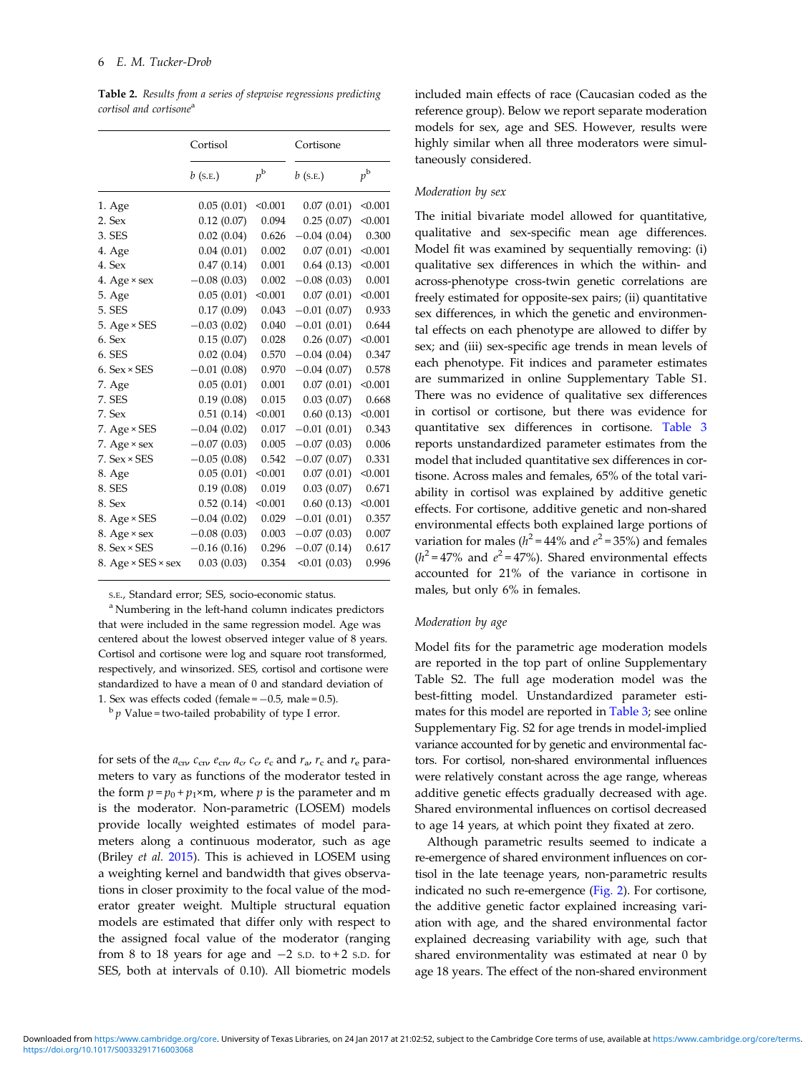|                                  | Cortisol      |             | Cortisone     |             |  |  |
|----------------------------------|---------------|-------------|---------------|-------------|--|--|
|                                  | $b$ (s.e.)    | $p^{\rm b}$ | $b$ (s.e.)    | $p^{\rm b}$ |  |  |
| 1. Age                           | 0.05(0.01)    | < 0.001     | 0.07(0.01)    | < 0.001     |  |  |
| 2. Sex                           | 0.12(0.07)    | 0.094       | 0.25(0.07)    | < 0.001     |  |  |
| 3. SES                           | 0.02(0.04)    | 0.626       | $-0.04(0.04)$ | 0.300       |  |  |
| 4. Age                           | 0.04(0.01)    | 0.002       | 0.07(0.01)    | < 0.001     |  |  |
| 4. Sex                           | 0.47(0.14)    | 0.001       | 0.64(0.13)    | < 0.001     |  |  |
| 4. Age $\times$ sex              | $-0.08(0.03)$ | 0.002       | $-0.08(0.03)$ | 0.001       |  |  |
| 5. Age                           | 0.05(0.01)    | < 0.001     | 0.07(0.01)    | < 0.001     |  |  |
| 5. SES                           | 0.17(0.09)    | 0.043       | $-0.01(0.07)$ | 0.933       |  |  |
| 5. Age $\times$ SES              | $-0.03(0.02)$ | 0.040       | $-0.01(0.01)$ | 0.644       |  |  |
| 6. Sex                           | 0.15(0.07)    | 0.028       | 0.26(0.07)    | < 0.001     |  |  |
| 6. SES                           | 0.02(0.04)    | 0.570       | $-0.04(0.04)$ | 0.347       |  |  |
| $6.$ Sex $\times$ SES            | $-0.01(0.08)$ | 0.970       | $-0.04(0.07)$ | 0.578       |  |  |
| 7. Age                           | 0.05(0.01)    | 0.001       | 0.07(0.01)    | < 0.001     |  |  |
| 7. SES                           | 0.19(0.08)    | 0.015       | 0.03(0.07)    | 0.668       |  |  |
| 7. Sex                           | 0.51(0.14)    | < 0.001     | 0.60(0.13)    | < 0.001     |  |  |
| 7. Age × SES                     | $-0.04(0.02)$ | 0.017       | $-0.01(0.01)$ | 0.343       |  |  |
| 7. Age × sex                     | $-0.07(0.03)$ | 0.005       | $-0.07(0.03)$ | 0.006       |  |  |
| 7. Sex × SES                     | $-0.05(0.08)$ | 0.542       | $-0.07(0.07)$ | 0.331       |  |  |
| 8. Age                           | 0.05(0.01)    | < 0.001     | 0.07(0.01)    | < 0.001     |  |  |
| 8. SES                           | 0.19(0.08)    | 0.019       | 0.03(0.07)    | 0.671       |  |  |
| 8. Sex                           | 0.52(0.14)    | < 0.001     | 0.60(0.13)    | < 0.001     |  |  |
| 8. Age × SES                     | $-0.04(0.02)$ | 0.029       | $-0.01(0.01)$ | 0.357       |  |  |
| 8. Age $\times$ sex              | $-0.08(0.03)$ | 0.003       | $-0.07(0.03)$ | 0.007       |  |  |
| 8. Sex × SES                     | $-0.16(0.16)$ | 0.296       | $-0.07(0.14)$ | 0.617       |  |  |
| 8. Age $\times$ SES $\times$ sex | 0.03(0.03)    | 0.354       | <0.01(0.03)   | 0.996       |  |  |

<span id="page-5-0"></span>Table 2. Results from a series of stepwise regressions predicting cortisol and cortisone<sup>a</sup>

S.E., Standard error; SES, socio-economic status.

<sup>a</sup> Numbering in the left-hand column indicates predictors that were included in the same regression model. Age was centered about the lowest observed integer value of 8 years. Cortisol and cortisone were log and square root transformed, respectively, and winsorized. SES, cortisol and cortisone were standardized to have a mean of 0 and standard deviation of

1. Sex was effects coded (female = −0.5, male = 0.5). b p Value = two-tailed probability of type I error.

for sets of the  $a_{\rm cv}$ ,  $c_{\rm cv}$ ,  $e_{\rm cv}$ ,  $a_{\rm c}$ ,  $c_{\rm c}$ ,  $e_{\rm c}$  and  $r_{\rm a}$ ,  $r_{\rm c}$  and  $r_{\rm e}$  parameters to vary as functions of the moderator tested in the form  $p = p_0 + p_1 \times m$ , where p is the parameter and m is the moderator. Non-parametric (LOSEM) models provide locally weighted estimates of model parameters along a continuous moderator, such as age (Briley et al. [2015\)](#page-10-0). This is achieved in LOSEM using a weighting kernel and bandwidth that gives observations in closer proximity to the focal value of the moderator greater weight. Multiple structural equation models are estimated that differ only with respect to the assigned focal value of the moderator (ranging from 8 to 18 years for age and  $-2$  s.D. to + 2 s.D. for SES, both at intervals of 0.10). All biometric models

included main effects of race (Caucasian coded as the reference group). Below we report separate moderation models for sex, age and SES. However, results were highly similar when all three moderators were simultaneously considered.

#### Moderation by sex

The initial bivariate model allowed for quantitative, qualitative and sex-specific mean age differences. Model fit was examined by sequentially removing: (i) qualitative sex differences in which the within- and across-phenotype cross-twin genetic correlations are freely estimated for opposite-sex pairs; (ii) quantitative sex differences, in which the genetic and environmental effects on each phenotype are allowed to differ by sex; and (iii) sex-specific age trends in mean levels of each phenotype. Fit indices and parameter estimates are summarized in online Supplementary Table S1. There was no evidence of qualitative sex differences in cortisol or cortisone, but there was evidence for quantitative sex differences in cortisone. [Table 3](#page-7-0) reports unstandardized parameter estimates from the model that included quantitative sex differences in cortisone. Across males and females, 65% of the total variability in cortisol was explained by additive genetic effects. For cortisone, additive genetic and non-shared environmental effects both explained large portions of variation for males ( $h^2$  = 44% and  $e^2$  = 35%) and females  $(h^2 = 47\%$  and  $e^2 = 47\%$ ). Shared environmental effects accounted for 21% of the variance in cortisone in males, but only 6% in females.

## Moderation by age

Model fits for the parametric age moderation models are reported in the top part of online Supplementary Table S2. The full age moderation model was the best-fitting model. Unstandardized parameter estimates for this model are reported in [Table 3;](#page-7-0) see online Supplementary Fig. S2 for age trends in model-implied variance accounted for by genetic and environmental factors. For cortisol, non-shared environmental influences were relatively constant across the age range, whereas additive genetic effects gradually decreased with age. Shared environmental influences on cortisol decreased to age 14 years, at which point they fixated at zero.

Although parametric results seemed to indicate a re-emergence of shared environment influences on cortisol in the late teenage years, non-parametric results indicated no such re-emergence ([Fig. 2\)](#page-9-0). For cortisone, the additive genetic factor explained increasing variation with age, and the shared environmental factor explained decreasing variability with age, such that shared environmentality was estimated at near 0 by age 18 years. The effect of the non-shared environment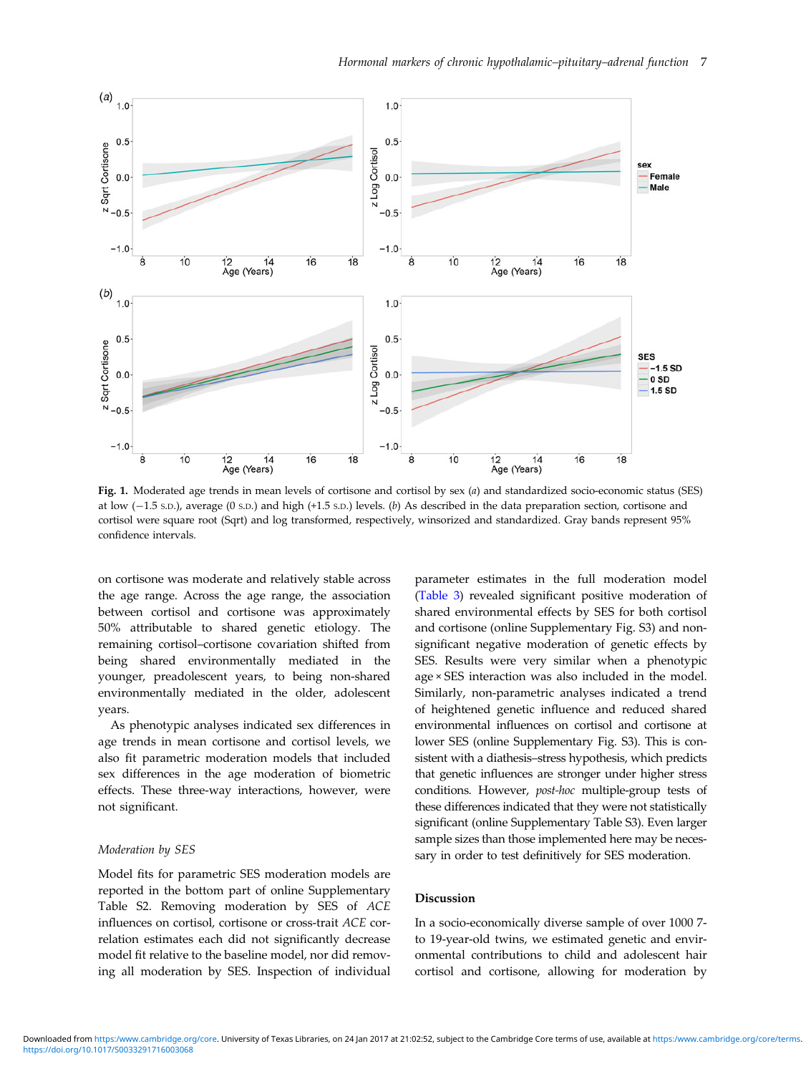<span id="page-6-0"></span>

Fig. 1. Moderated age trends in mean levels of cortisone and cortisol by sex  $(a)$  and standardized socio-economic status (SES) at low (−1.5 S.D.), average (0 S.D.) and high (+1.5 S.D.) levels. (b) As described in the data preparation section, cortisone and cortisol were square root (Sqrt) and log transformed, respectively, winsorized and standardized. Gray bands represent 95% confidence intervals.

on cortisone was moderate and relatively stable across the age range. Across the age range, the association between cortisol and cortisone was approximately 50% attributable to shared genetic etiology. The remaining cortisol–cortisone covariation shifted from being shared environmentally mediated in the younger, preadolescent years, to being non-shared environmentally mediated in the older, adolescent years.

As phenotypic analyses indicated sex differences in age trends in mean cortisone and cortisol levels, we also fit parametric moderation models that included sex differences in the age moderation of biometric effects. These three-way interactions, however, were not significant.

#### Moderation by SES

Model fits for parametric SES moderation models are reported in the bottom part of online Supplementary Table S2. Removing moderation by SES of ACE influences on cortisol, cortisone or cross-trait ACE correlation estimates each did not significantly decrease model fit relative to the baseline model, nor did removing all moderation by SES. Inspection of individual

parameter estimates in the full moderation model ([Table 3\)](#page-7-0) revealed significant positive moderation of shared environmental effects by SES for both cortisol and cortisone (online Supplementary Fig. S3) and nonsignificant negative moderation of genetic effects by SES. Results were very similar when a phenotypic age × SES interaction was also included in the model. Similarly, non-parametric analyses indicated a trend of heightened genetic influence and reduced shared environmental influences on cortisol and cortisone at lower SES (online Supplementary Fig. S3). This is consistent with a diathesis–stress hypothesis, which predicts that genetic influences are stronger under higher stress conditions. However, post-hoc multiple-group tests of these differences indicated that they were not statistically significant (online Supplementary Table S3). Even larger sample sizes than those implemented here may be necessary in order to test definitively for SES moderation.

#### Discussion

In a socio-economically diverse sample of over 1000 7 to 19-year-old twins, we estimated genetic and environmental contributions to child and adolescent hair cortisol and cortisone, allowing for moderation by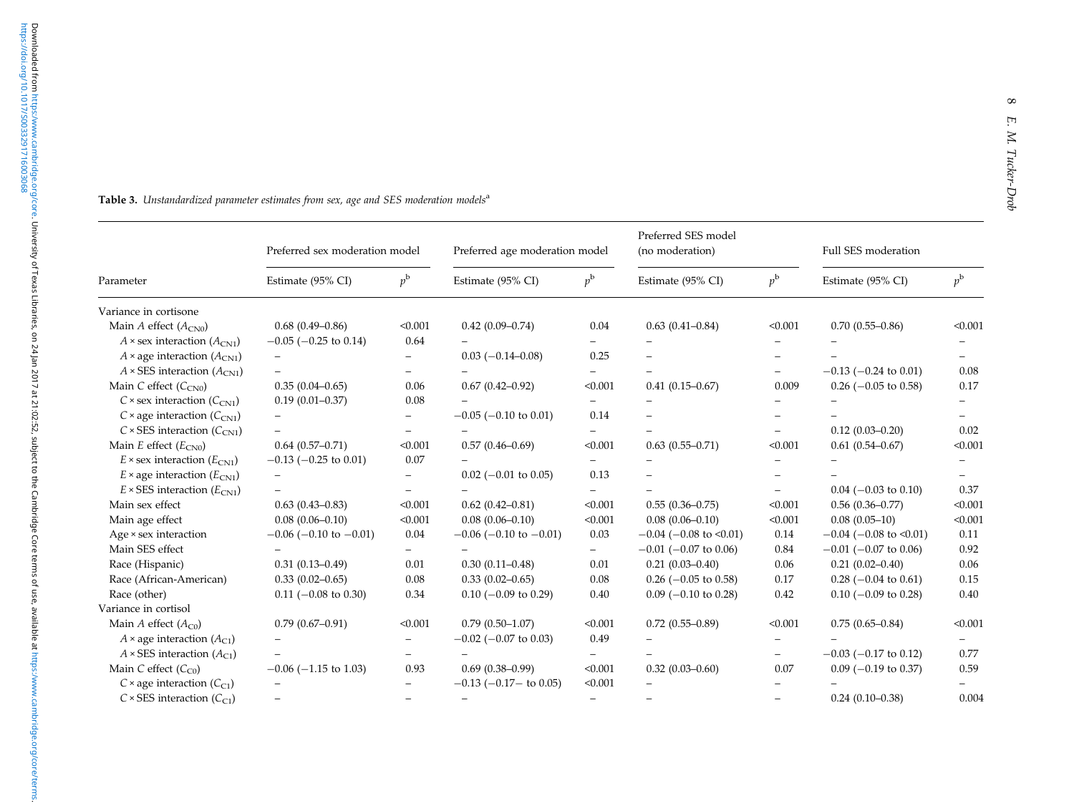#### Preferred SES model Preferred sex moderation model Preferred age moderation model (no moderation) Full SES moderation en la Vari  $\mathbf{N}$ A effect ( AA $A \times \text{sex}$  interaction (  $(A_{CN1})$  −0.05 ( A <sup>×</sup> age interaction (  $(A_{\rm CN1})$  – 0.03 ( A <sup>×</sup> SES interaction (  $\mathbf{N}$ C effect ( C. <sup>×</sup> sex interaction ( C.  $C \times$  age interaction ( C.  $C_{\rm CN1}$ ) – – – – <sup>−</sup>0.05 (

#### <span id="page-7-0"></span>**Table 3.** Unstandardized parameter estimates from sex, age and SES moderation models<sup>a</sup>

| Parameter                                | Estimate (95% CI)              | $v^{\rm b}$ | Estimate (95% CI)              | $p^{\rm b}$ | Estimate (95% CI)                  | $p^{\rm b}$              | Estimate (95% CI)                  | $p^{\rm b}$ |
|------------------------------------------|--------------------------------|-------------|--------------------------------|-------------|------------------------------------|--------------------------|------------------------------------|-------------|
| Variance in cortisone                    |                                |             |                                |             |                                    |                          |                                    |             |
| Main $A$ effect $(A_{CNO})$              | $0.68(0.49 - 0.86)$            | < 0.001     | $0.42(0.09 - 0.74)$            | 0.04        | $0.63(0.41 - 0.84)$                | < 0.001                  | $0.70(0.55 - 0.86)$                | < 0.001     |
| $A \times$ sex interaction ( $A_{CN1}$ ) | $-0.05$ ( $-0.25$ to 0.14)     | 0.64        |                                |             |                                    |                          |                                    |             |
| $A \times$ age interaction ( $A_{CN1}$ ) |                                |             | $0.03$ ( $-0.14 - 0.08$ )      | 0.25        |                                    |                          |                                    |             |
| $A \times$ SES interaction ( $A_{CN1}$ ) |                                |             |                                |             |                                    | -                        | $-0.13$ ( $-0.24$ to 0.01)         | 0.08        |
| Main C effect $(C_{CNO})$                | $0.35(0.04 - 0.65)$            | 0.06        | $0.67(0.42 - 0.92)$            | < 0.001     | $0.41(0.15 - 0.67)$                | 0.009                    | $0.26$ (-0.05 to 0.58)             | 0.17        |
| $C \times$ sex interaction ( $C_{CN1}$ ) | $0.19(0.01 - 0.37)$            | 0.08        |                                |             |                                    |                          |                                    |             |
| $C \times$ age interaction ( $C_{CN1}$ ) |                                |             | $-0.05$ ( $-0.10$ to 0.01)     | 0.14        |                                    |                          |                                    |             |
| $C \times$ SES interaction ( $C_{CN1}$ ) |                                |             |                                |             |                                    | $\overline{\phantom{0}}$ | $0.12(0.03 - 0.20)$                | 0.02        |
| Main E effect $(E_{CNO})$                | $0.64(0.57-0.71)$              | < 0.001     | $0.57(0.46 - 0.69)$            | < 0.001     | $0.63(0.55 - 0.71)$                | < 0.001                  | $0.61(0.54 - 0.67)$                | < 0.001     |
| $E \times$ sex interaction ( $E_{CN1}$ ) | $-0.13$ ( $-0.25$ to 0.01)     | 0.07        |                                |             |                                    |                          |                                    |             |
| $E \times$ age interaction ( $E_{CN1}$ ) |                                |             | $0.02$ (-0.01 to 0.05)         | 0.13        |                                    |                          |                                    |             |
| $E \times$ SES interaction ( $E_{CN1}$ ) |                                |             |                                |             |                                    |                          | $0.04$ (-0.03 to 0.10)             | 0.37        |
| Main sex effect                          | $0.63(0.43 - 0.83)$            | < 0.001     | $0.62(0.42 - 0.81)$            | < 0.001     | $0.55(0.36 - 0.75)$                | < 0.001                  | $0.56(0.36 - 0.77)$                | < 0.001     |
| Main age effect                          | $0.08(0.06 - 0.10)$            | < 0.001     | $0.08(0.06 - 0.10)$            | < 0.001     | $0.08(0.06 - 0.10)$                | < 0.001                  | $0.08(0.05-10)$                    | < 0.001     |
| Age × sex interaction                    | $-0.06$ ( $-0.10$ to $-0.01$ ) | 0.04        | $-0.06$ ( $-0.10$ to $-0.01$ ) | 0.03        | $-0.04$ ( $-0.08$ to $\leq 0.01$ ) | 0.14                     | $-0.04$ ( $-0.08$ to $\leq 0.01$ ) | 0.11        |
| Main SES effect                          |                                |             |                                |             | $-0.01$ ( $-0.07$ to 0.06)         | 0.84                     | $-0.01$ ( $-0.07$ to 0.06)         | 0.92        |
| Race (Hispanic)                          | $0.31(0.13 - 0.49)$            | 0.01        | $0.30(0.11 - 0.48)$            | 0.01        | $0.21(0.03 - 0.40)$                | 0.06                     | $0.21(0.02 - 0.40)$                | 0.06        |
| Race (African-American)                  | $0.33(0.02 - 0.65)$            | 0.08        | $0.33(0.02 - 0.65)$            | 0.08        | $0.26$ (-0.05 to 0.58)             | 0.17                     | $0.28$ (-0.04 to 0.61)             | 0.15        |
| Race (other)                             | $0.11$ (-0.08 to 0.30)         | 0.34        | $0.10$ (-0.09 to 0.29)         | 0.40        | $0.09$ (-0.10 to 0.28)             | 0.42                     | $0.10$ (-0.09 to 0.28)             | 0.40        |
| Variance in cortisol                     |                                |             |                                |             |                                    |                          |                                    |             |
| Main $A$ effect $(ACO)$                  | $0.79(0.67 - 0.91)$            | < 0.001     | $0.79(0.50-1.07)$              | < 0.001     | $0.72(0.55-0.89)$                  | < 0.001                  | $0.75(0.65 - 0.84)$                | < 0.001     |
| $A \times$ age interaction ( $A_{C1}$ )  |                                |             | $-0.02$ ( $-0.07$ to 0.03)     | 0.49        |                                    |                          |                                    |             |
| $A \times$ SES interaction ( $A_{C1}$ )  |                                |             |                                |             |                                    | $\overline{\phantom{0}}$ | $-0.03$ ( $-0.17$ to 0.12)         | 0.77        |
| Main $C$ effect $(C_{C0})$               | $-0.06$ ( $-1.15$ to 1.03)     | 0.93        | $0.69(0.38-0.99)$              | < 0.001     | $0.32(0.03 - 0.60)$                | 0.07                     | $0.09$ (-0.19 to 0.37)             | 0.59        |
| $C \times$ age interaction ( $C_{C1}$ )  |                                |             | $-0.13$ ( $-0.17$ to 0.05)     | < 0.001     |                                    |                          |                                    |             |
| $C \times$ SES interaction ( $C_{C1}$ )  |                                |             |                                |             |                                    |                          | $0.24(0.10-0.38)$                  | 0.004       |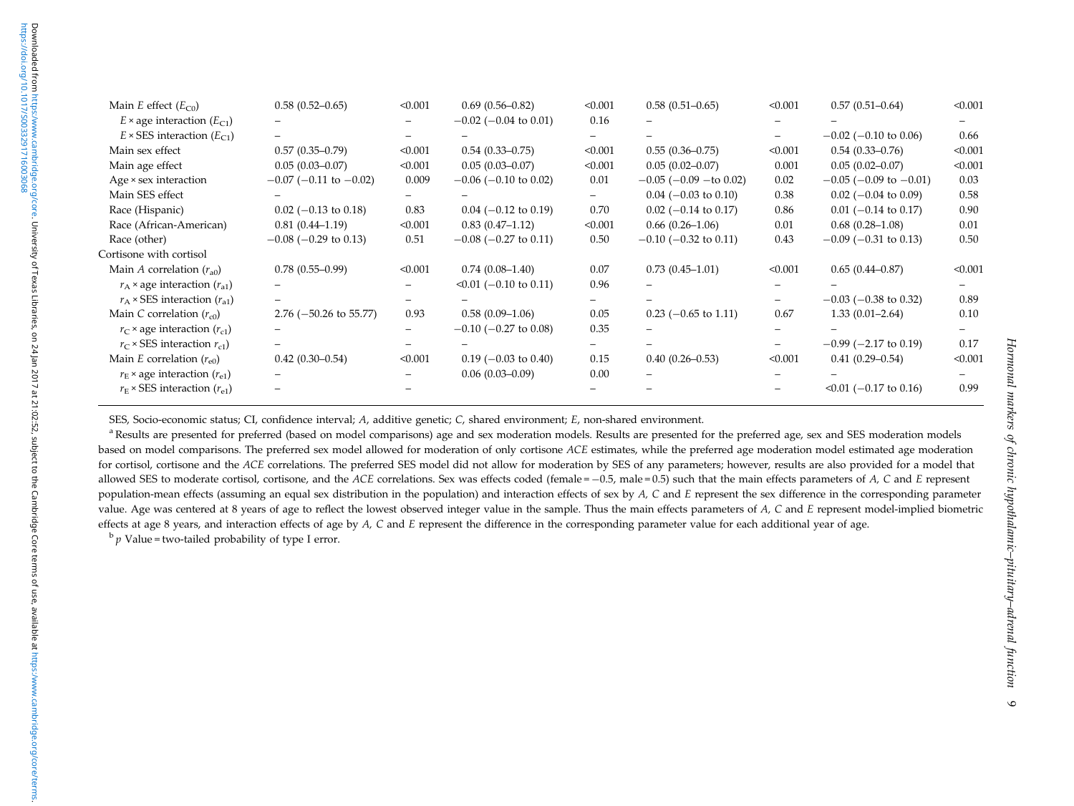| Main E effect $(E_{C0})$                       | $0.58(0.52 - 0.65)$         | < 0.001 | $0.69(0.56 - 0.82)$         | < 0.001                  | $0.58(0.51-0.65)$           | < 0.001 | $0.57(0.51-0.64)$              | < 0.001 |
|------------------------------------------------|-----------------------------|---------|-----------------------------|--------------------------|-----------------------------|---------|--------------------------------|---------|
| $E \times$ age interaction ( $E_{C1}$ )        |                             |         | $-0.02$ ( $-0.04$ to 0.01)  | 0.16                     |                             |         |                                |         |
| $E \times$ SES interaction ( $E_{C1}$ )        |                             |         |                             |                          |                             | -       | $-0.02$ ( $-0.10$ to 0.06)     | 0.66    |
| Main sex effect                                | $0.57(0.35-0.79)$           | < 0.001 | $0.54(0.33 - 0.75)$         | < 0.001                  | $0.55(0.36 - 0.75)$         | < 0.001 | $0.54(0.33 - 0.76)$            | < 0.001 |
| Main age effect                                | $0.05(0.03 - 0.07)$         | < 0.001 | $0.05(0.03 - 0.07)$         | < 0.001                  | $0.05(0.02 - 0.07)$         | 0.001   | $0.05(0.02 - 0.07)$            | < 0.001 |
| $Age \times sex$ interaction                   | $-0.07$ (-0.11 to -0.02)    | 0.009   | $-0.06$ ( $-0.10$ to 0.02)  | 0.01                     | $-0.05$ ( $-0.09$ -to 0.02) | 0.02    | $-0.05$ ( $-0.09$ to $-0.01$ ) | 0.03    |
| Main SES effect                                |                             |         |                             | $\overline{\phantom{0}}$ | $0.04$ (-0.03 to 0.10)      | 0.38    | $0.02$ (-0.04 to 0.09)         | 0.58    |
| Race (Hispanic)                                | $0.02$ (-0.13 to 0.18)      | 0.83    | $0.04$ (-0.12 to 0.19)      | 0.70                     | $0.02$ (-0.14 to 0.17)      | 0.86    | $0.01$ (-0.14 to 0.17)         | 0.90    |
| Race (African-American)                        | $0.81(0.44 - 1.19)$         | < 0.001 | $0.83(0.47-1.12)$           | < 0.001                  | $0.66(0.26 - 1.06)$         | 0.01    | $0.68(0.28 - 1.08)$            | 0.01    |
| Race (other)                                   | $-0.08$ ( $-0.29$ to 0.13)  | 0.51    | $-0.08$ ( $-0.27$ to 0.11)  | 0.50                     | $-0.10$ ( $-0.32$ to 0.11)  | 0.43    | $-0.09$ ( $-0.31$ to 0.13)     | 0.50    |
| Cortisone with cortisol                        |                             |         |                             |                          |                             |         |                                |         |
| Main A correlation $(r_{a0})$                  | $0.78(0.55-0.99)$           | < 0.001 | $0.74(0.08-1.40)$           | 0.07                     | $0.73(0.45 - 1.01)$         | < 0.001 | $0.65(0.44 - 0.87)$            | < 0.001 |
| $r_A \times$ age interaction $(r_{a1})$        |                             | -       | $\leq 0.01$ (-0.10 to 0.11) | 0.96                     |                             |         |                                |         |
| $r_A \times$ SES interaction $(r_{a1})$        |                             |         |                             |                          |                             |         | $-0.03$ ( $-0.38$ to 0.32)     | 0.89    |
| Main C correlation $(r_{c0})$                  | $2.76$ ( $-50.26$ to 55.77) | 0.93    | $0.58(0.09-1.06)$           | 0.05                     | $0.23$ (-0.65 to 1.11)      | 0.67    | $1.33(0.01 - 2.64)$            | 0.10    |
| $r_{\rm C}$ × age interaction ( $r_{\rm c1}$ ) |                             | -       | $-0.10$ ( $-0.27$ to 0.08)  | 0.35                     |                             |         |                                |         |
| $r_{\rm C}$ × SES interaction $r_{\rm c1}$ )   |                             |         |                             |                          |                             |         | $-0.99$ ( $-2.17$ to 0.19)     | 0.17    |
| Main E correlation $(r_{\rm e0})$              | $0.42(0.30-0.54)$           | < 0.001 | $0.19$ (-0.03 to 0.40)      | 0.15                     | $0.40(0.26 - 0.53)$         | < 0.001 | $0.41(0.29 - 0.54)$            | < 0.001 |
| $r_{\rm E}$ × age interaction ( $r_{\rm e1}$ ) |                             |         | $0.06(0.03-0.09)$           | 0.00                     |                             |         |                                |         |
| $r_{\rm E}$ × SES interaction $(r_{\rm e1})$   |                             |         |                             |                          |                             |         | $0.01$ (-0.17 to 0.16)         | 0.99    |
|                                                |                             |         |                             |                          |                             |         |                                |         |

SES, Socio-economic status; CI, confidence interval; <sup>A</sup>, additive genetic; C, shared environment; E, non-shared environment.

<sup>a</sup> Results are presented for preferred (based on model comparisons) age and sex moderation models. Results are presented for the preferred age, sex and SES moderation models based on model comparisons. The preferred sex model allowed for moderation of only cortisone ACE estimates, while the preferred age moderation model estimated age moderation for cortisol, cortisone and the ACE correlations. The preferred SES model did not allow for moderation by SES of any parameters; however, results are also provided for <sup>a</sup> model that allowed SES to moderate cortisol, cortisone, and the ACE correlations. Sex was effects coded (female =  $-0.5$ , male = 0.5) such that the main effects parameters of A, C and E represent population-mean effects (assuming an equal sex distribution in the population) and interaction effects of sex by  $A$ ,  $C$  and  $E$  represent the sex difference in the corresponding parameter value. Age was centered at 8 years of age to reflect the lowest observed integer value in the sample. Thus the main effects parameters of A, C and E represent model-implied biometric effects at age 8 years, and interaction effects of age by  $A$ ,  $C$  and  $E$  represent the difference in the corresponding parameter value for each additional year of age.

 $b p$  Value = two-tailed probability of type I error.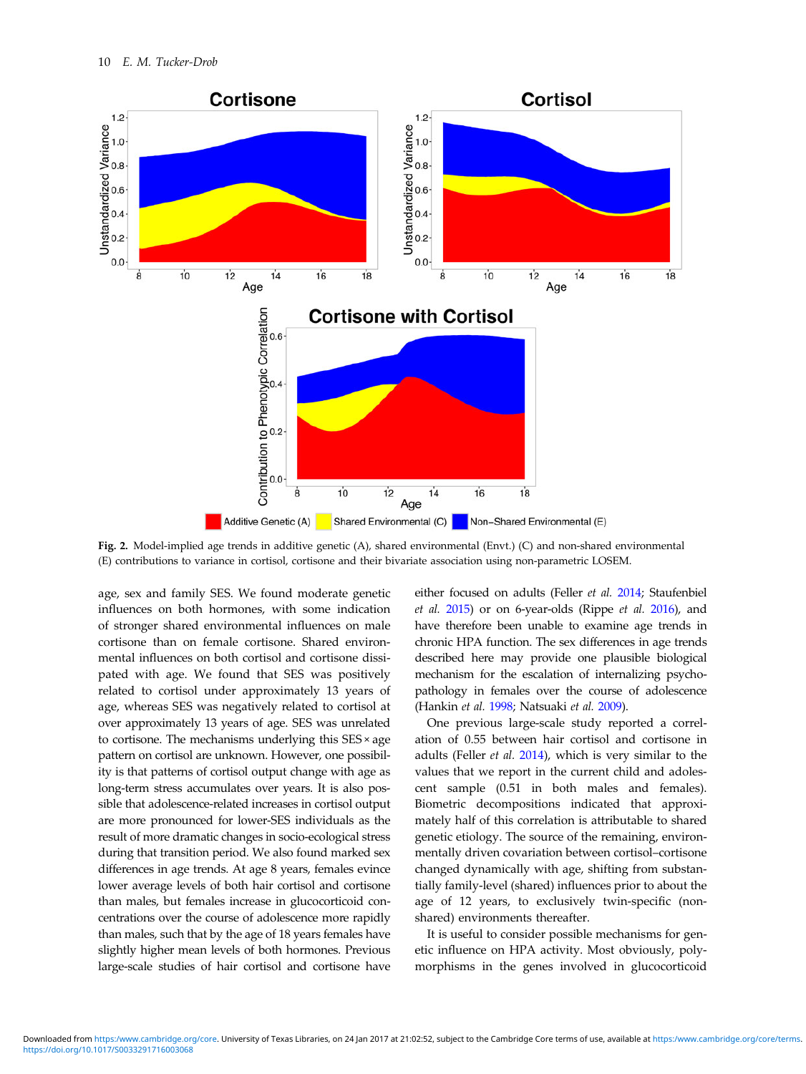<span id="page-9-0"></span>

Fig. 2. Model-implied age trends in additive genetic (A), shared environmental (Envt.) (C) and non-shared environmental (E) contributions to variance in cortisol, cortisone and their bivariate association using non-parametric LOSEM.

age, sex and family SES. We found moderate genetic influences on both hormones, with some indication of stronger shared environmental influences on male cortisone than on female cortisone. Shared environmental influences on both cortisol and cortisone dissipated with age. We found that SES was positively related to cortisol under approximately 13 years of age, whereas SES was negatively related to cortisol at over approximately 13 years of age. SES was unrelated to cortisone. The mechanisms underlying this  $SES \times age$ pattern on cortisol are unknown. However, one possibility is that patterns of cortisol output change with age as long-term stress accumulates over years. It is also possible that adolescence-related increases in cortisol output are more pronounced for lower-SES individuals as the result of more dramatic changes in socio-ecological stress during that transition period. We also found marked sex differences in age trends. At age 8 years, females evince lower average levels of both hair cortisol and cortisone than males, but females increase in glucocorticoid concentrations over the course of adolescence more rapidly than males, such that by the age of 18 years females have slightly higher mean levels of both hormones. Previous large-scale studies of hair cortisol and cortisone have

either focused on adults (Feller et al. [2014](#page-11-0); Staufenbiel et al. [2015](#page-12-0)) or on 6-year-olds (Rippe et al. [2016\)](#page-11-0), and have therefore been unable to examine age trends in chronic HPA function. The sex differences in age trends described here may provide one plausible biological mechanism for the escalation of internalizing psychopathology in females over the course of adolescence (Hankin et al. [1998](#page-11-0); Natsuaki et al. [2009\)](#page-11-0).

One previous large-scale study reported a correlation of 0.55 between hair cortisol and cortisone in adults (Feller et al. [2014](#page-11-0)), which is very similar to the values that we report in the current child and adolescent sample (0.51 in both males and females). Biometric decompositions indicated that approximately half of this correlation is attributable to shared genetic etiology. The source of the remaining, environmentally driven covariation between cortisol–cortisone changed dynamically with age, shifting from substantially family-level (shared) influences prior to about the age of 12 years, to exclusively twin-specific (nonshared) environments thereafter.

It is useful to consider possible mechanisms for genetic influence on HPA activity. Most obviously, polymorphisms in the genes involved in glucocorticoid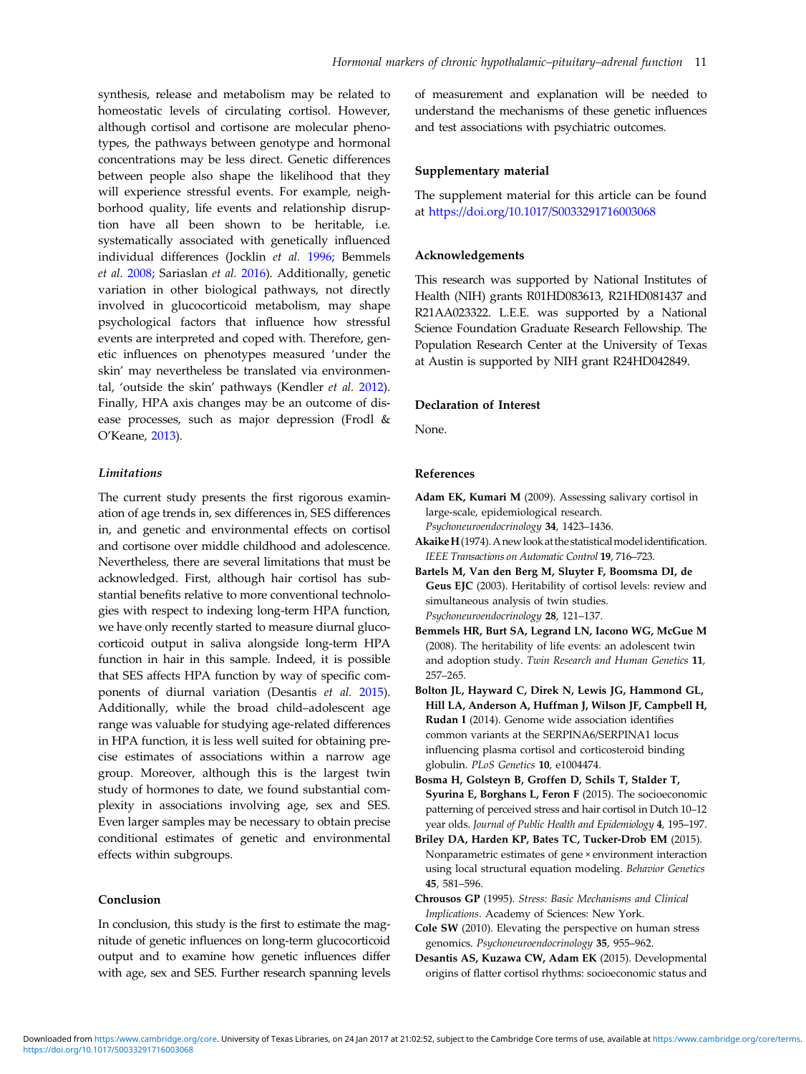<span id="page-10-0"></span>synthesis, release and metabolism may be related to homeostatic levels of circulating cortisol. However, although cortisol and cortisone are molecular phenotypes, the pathways between genotype and hormonal concentrations may be less direct. Genetic differences between people also shape the likelihood that they will experience stressful events. For example, neighborhood quality, life events and relationship disruption have all been shown to be heritable, i.e. systematically associated with genetically influenced individual differences (Jocklin et al. [1996](#page-11-0); Bemmels et al. 2008; Sariaslan et al. [2016](#page-11-0)). Additionally, genetic variation in other biological pathways, not directly involved in glucocorticoid metabolism, may shape psychological factors that influence how stressful events are interpreted and coped with. Therefore, genetic influences on phenotypes measured 'under the skin' may nevertheless be translated via environmental, 'outside the skin' pathways (Kendler et al. [2012](#page-11-0)). Finally, HPA axis changes may be an outcome of disease processes, such as major depression (Frodl & O'Keane, [2013\)](#page-11-0).

## Limitations

The current study presents the first rigorous examination of age trends in, sex differences in, SES differences in, and genetic and environmental effects on cortisol and cortisone over middle childhood and adolescence. Nevertheless, there are several limitations that must be acknowledged. First, although hair cortisol has substantial benefits relative to more conventional technologies with respect to indexing long-term HPA function, we have only recently started to measure diurnal glucocorticoid output in saliva alongside long-term HPA function in hair in this sample. Indeed, it is possible that SES affects HPA function by way of specific components of diurnal variation (Desantis et al. 2015). Additionally, while the broad child–adolescent age range was valuable for studying age-related differences in HPA function, it is less well suited for obtaining precise estimates of associations within a narrow age group. Moreover, although this is the largest twin study of hormones to date, we found substantial complexity in associations involving age, sex and SES. Even larger samples may be necessary to obtain precise conditional estimates of genetic and environmental effects within subgroups.

## Conclusion

In conclusion, this study is the first to estimate the magnitude of genetic influences on long-term glucocorticoid output and to examine how genetic influences differ with age, sex and SES. Further research spanning levels of measurement and explanation will be needed to understand the mechanisms of these genetic influences and test associations with psychiatric outcomes.

#### Supplementary material

The supplement material for this article can be found at <https://doi.org/10.1017/S0033291716003068>

#### Acknowledgements

This research was supported by National Institutes of Health (NIH) grants R01HD083613, R21HD081437 and R21AA023322. L.E.E. was supported by a National Science Foundation Graduate Research Fellowship. The Population Research Center at the University of Texas at Austin is supported by NIH grant R24HD042849.

#### Declaration of Interest

None.

### References

- Adam EK, Kumari M (2009). Assessing salivary cortisol in large-scale, epidemiological research.
	- Psychoneuroendocrinology 34, 1423–1436.
- Akaike H(1974). A new look at the statistical model identification. IEEE Transactions on Automatic Control 19, 716–723.
- Bartels M, Van den Berg M, Sluyter F, Boomsma DI, de Geus EJC (2003). Heritability of cortisol levels: review and simultaneous analysis of twin studies. Psychoneuroendocrinology 28, 121–137.
- Bemmels HR, Burt SA, Legrand LN, Iacono WG, McGue M (2008). The heritability of life events: an adolescent twin and adoption study. Twin Research and Human Genetics 11, 257–265.
- Bolton JL, Hayward C, Direk N, Lewis JG, Hammond GL, Hill LA, Anderson A, Huffman J, Wilson JF, Campbell H, Rudan I (2014). Genome wide association identifies common variants at the SERPINA6/SERPINA1 locus influencing plasma cortisol and corticosteroid binding globulin. PLoS Genetics 10, e1004474.
- Bosma H, Golsteyn B, Groffen D, Schils T, Stalder T, Syurina E, Borghans L, Feron F (2015). The socioeconomic patterning of perceived stress and hair cortisol in Dutch 10–12 year olds. Journal of Public Health and Epidemiology 4, 195–197.
- Briley DA, Harden KP, Bates TC, Tucker-Drob EM (2015). Nonparametric estimates of gene × environment interaction using local structural equation modeling. Behavior Genetics 45, 581–596.
- Chrousos GP (1995). Stress: Basic Mechanisms and Clinical Implications. Academy of Sciences: New York.
- Cole SW (2010). Elevating the perspective on human stress genomics. Psychoneuroendocrinology 35, 955–962.
- Desantis AS, Kuzawa CW, Adam EK (2015). Developmental origins of flatter cortisol rhythms: socioeconomic status and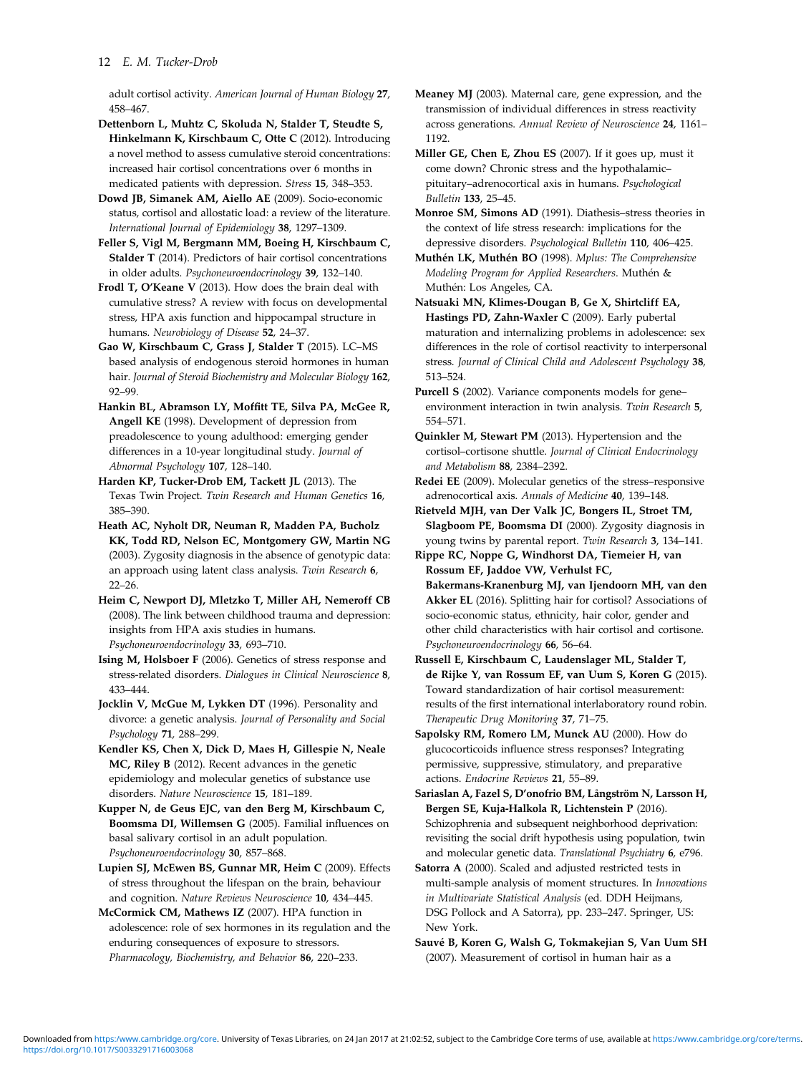<span id="page-11-0"></span>adult cortisol activity. American Journal of Human Biology 27, 458–467.

Dettenborn L, Muhtz C, Skoluda N, Stalder T, Steudte S, Hinkelmann K, Kirschbaum C, Otte C (2012). Introducing a novel method to assess cumulative steroid concentrations: increased hair cortisol concentrations over 6 months in medicated patients with depression. Stress 15, 348–353.

Dowd JB, Simanek AM, Aiello AE (2009). Socio-economic status, cortisol and allostatic load: a review of the literature. International Journal of Epidemiology 38, 1297–1309.

Feller S, Vigl M, Bergmann MM, Boeing H, Kirschbaum C, Stalder T (2014). Predictors of hair cortisol concentrations in older adults. Psychoneuroendocrinology 39, 132–140.

Frodl T, O'Keane V (2013). How does the brain deal with cumulative stress? A review with focus on developmental stress, HPA axis function and hippocampal structure in humans. Neurobiology of Disease 52, 24–37.

Gao W, Kirschbaum C, Grass J, Stalder T (2015). LC–MS based analysis of endogenous steroid hormones in human hair. Journal of Steroid Biochemistry and Molecular Biology 162, 92–99.

Hankin BL, Abramson LY, Moffitt TE, Silva PA, McGee R, Angell KE (1998). Development of depression from preadolescence to young adulthood: emerging gender differences in a 10-year longitudinal study. Journal of Abnormal Psychology 107, 128–140.

Harden KP, Tucker-Drob EM, Tackett JL (2013). The Texas Twin Project. Twin Research and Human Genetics 16, 385–390.

Heath AC, Nyholt DR, Neuman R, Madden PA, Bucholz KK, Todd RD, Nelson EC, Montgomery GW, Martin NG (2003). Zygosity diagnosis in the absence of genotypic data: an approach using latent class analysis. Twin Research 6, 22–26.

Heim C, Newport DJ, Mletzko T, Miller AH, Nemeroff CB (2008). The link between childhood trauma and depression: insights from HPA axis studies in humans. Psychoneuroendocrinology 33, 693–710.

Ising M, Holsboer F (2006). Genetics of stress response and stress-related disorders. Dialogues in Clinical Neuroscience 8, 433–444.

Jocklin V, McGue M, Lykken DT (1996). Personality and divorce: a genetic analysis. Journal of Personality and Social Psychology 71, 288–299.

Kendler KS, Chen X, Dick D, Maes H, Gillespie N, Neale MC, Riley B (2012). Recent advances in the genetic epidemiology and molecular genetics of substance use disorders. Nature Neuroscience 15, 181–189.

Kupper N, de Geus EJC, van den Berg M, Kirschbaum C, Boomsma DI, Willemsen G (2005). Familial influences on basal salivary cortisol in an adult population. Psychoneuroendocrinology 30, 857–868.

Lupien SJ, McEwen BS, Gunnar MR, Heim C (2009). Effects of stress throughout the lifespan on the brain, behaviour and cognition. Nature Reviews Neuroscience 10, 434–445.

McCormick CM, Mathews IZ (2007). HPA function in adolescence: role of sex hormones in its regulation and the enduring consequences of exposure to stressors. Pharmacology, Biochemistry, and Behavior 86, 220–233.

Meaney MJ (2003). Maternal care, gene expression, and the transmission of individual differences in stress reactivity across generations. Annual Review of Neuroscience 24, 1161– 1192.

Miller GE, Chen E, Zhou ES (2007). If it goes up, must it come down? Chronic stress and the hypothalamic– pituitary–adrenocortical axis in humans. Psychological Bulletin 133, 25–45.

Monroe SM, Simons AD (1991). Diathesis–stress theories in the context of life stress research: implications for the depressive disorders. Psychological Bulletin 110, 406–425.

Muthén LK, Muthén BO (1998). Mplus: The Comprehensive Modeling Program for Applied Researchers. Muthén & Muthén: Los Angeles, CA.

Natsuaki MN, Klimes-Dougan B, Ge X, Shirtcliff EA, Hastings PD, Zahn-Waxler C (2009). Early pubertal maturation and internalizing problems in adolescence: sex differences in the role of cortisol reactivity to interpersonal stress. Journal of Clinical Child and Adolescent Psychology 38, 513–524.

Purcell S (2002). Variance components models for geneenvironment interaction in twin analysis. Twin Research 5, 554–571.

Quinkler M, Stewart PM (2013). Hypertension and the cortisol–cortisone shuttle. Journal of Clinical Endocrinology and Metabolism 88, 2384–2392.

Redei EE (2009). Molecular genetics of the stress–responsive adrenocortical axis. Annals of Medicine 40, 139–148.

Rietveld MJH, van Der Valk JC, Bongers IL, Stroet TM, Slagboom PE, Boomsma DI (2000). Zygosity diagnosis in young twins by parental report. Twin Research 3, 134–141.

Rippe RC, Noppe G, Windhorst DA, Tiemeier H, van Rossum EF, Jaddoe VW, Verhulst FC,

Bakermans-Kranenburg MJ, van Ijendoorn MH, van den Akker EL (2016). Splitting hair for cortisol? Associations of socio-economic status, ethnicity, hair color, gender and other child characteristics with hair cortisol and cortisone. Psychoneuroendocrinology 66, 56–64.

Russell E, Kirschbaum C, Laudenslager ML, Stalder T, de Rijke Y, van Rossum EF, van Uum S, Koren G (2015). Toward standardization of hair cortisol measurement: results of the first international interlaboratory round robin. Therapeutic Drug Monitoring 37, 71–75.

Sapolsky RM, Romero LM, Munck AU (2000). How do glucocorticoids influence stress responses? Integrating permissive, suppressive, stimulatory, and preparative actions. Endocrine Reviews 21, 55–89.

Sariaslan A, Fazel S, D'onofrio BM, Långström N, Larsson H, Bergen SE, Kuja-Halkola R, Lichtenstein P (2016). Schizophrenia and subsequent neighborhood deprivation: revisiting the social drift hypothesis using population, twin and molecular genetic data. Translational Psychiatry 6, e796.

Satorra A (2000). Scaled and adjusted restricted tests in multi-sample analysis of moment structures. In Innovations in Multivariate Statistical Analysis (ed. DDH Heijmans, DSG Pollock and A Satorra), pp. 233–247. Springer, US: New York.

Sauvé B, Koren G, Walsh G, Tokmakejian S, Van Uum SH (2007). Measurement of cortisol in human hair as a